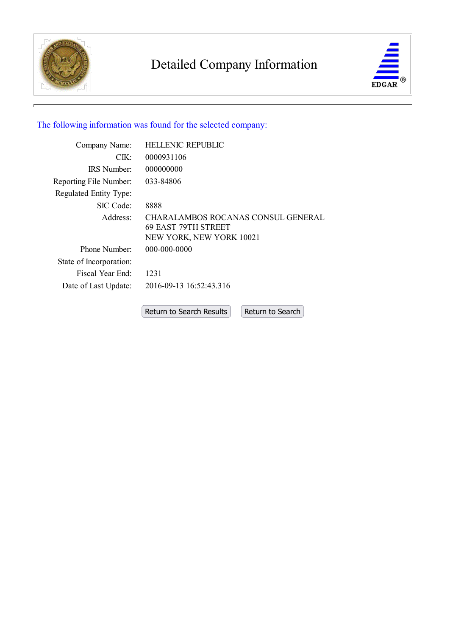

# Detailed Company Information



# The following information was found for the selected company:

| Company Name:                | <b>HELLENIC REPUBLIC</b>                                                              |
|------------------------------|---------------------------------------------------------------------------------------|
| $CIK$ :                      | 0000931106                                                                            |
| <b>IRS</b> Number            | 000000000                                                                             |
| Reporting File Number:       | 033-84806                                                                             |
| Regulated Entity Type:       |                                                                                       |
| SIC Code:                    | 8888                                                                                  |
| Address:                     | CHARALAMBOS ROCANAS CONSUL GENERAL<br>69 EAST 79TH STREET<br>NEW YORK, NEW YORK 10021 |
| Phone Number:                | 000-000-0000                                                                          |
| State of Incorporation:      |                                                                                       |
| Fiscal Year End <sup>.</sup> | 1231                                                                                  |
| Date of Last Update:         | 2016-09-13 16:52:43.316                                                               |
|                              |                                                                                       |

Return to Search Results Return to Search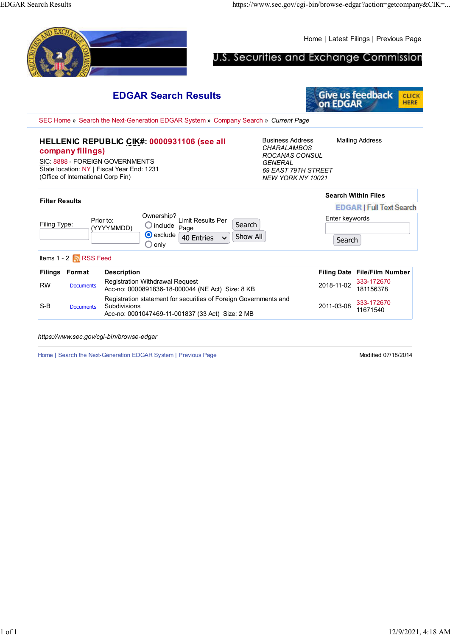Home | Latest Filings | Previous Page U.S. Securities and Exchange Commission **Give us feedback** EDGAR Search Results CLICK HERE on EDGAR SEC Home » Search the Next-Generation EDGAR System » Company Search » Current Page Business Address Mailing Address HELLENIC REPUBLIC CIK#: 0000931106 (see all **CHARALAMBOS** company filings) ROCANAS CONSUL SIC: 8888 - FOREIGN GOVERNMENTS **GENERAL** State location: NY | Fiscal Year End: 1231 69 EAST 79TH STREET (Office of International Corp Fin) NEW YORK NY 10021 Search Within Files Filter Results **EDGAR | Full Text Search** Ownership? Enter keywords Limit Results Per Filing Type: Prior to: Search include Page (YYYYMMDD) **O** exclude Show All 40 Entries  $\vee$ Search  $\bigcirc$  only Items 1 - 2 **RSS** Feed Filings Format Description Filing Date File/Film Number RW Documents Registration Withdrawal Request Registration Withdrawal Request<br>
Acc-no: 0000891836-18-000044 (NE Act) Size: 8 KB 2018-11-02 181156378 181156378 Registration statement for securities of Foreign Governments and 2011-03-08 333-172670 Subdivisions S-B Documents 11671540 Acc-no: 0001047469-11-001837 (33 Act) Size: 2 MB

https://www.sec.gov/cgi-bin/browse-edgar

Home | Search the Next-Generation EDGAR System | Previous Page Modified 07/18/2014